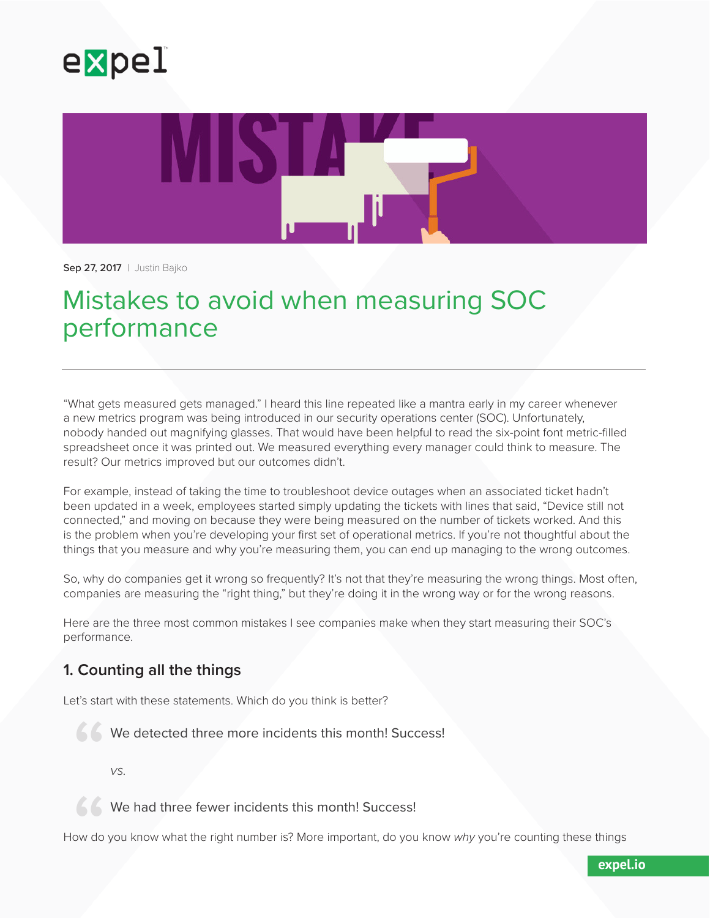



**Sep 27, 2017** | Justin Bajko

## Mistakes to avoid when measuring SOC performance

"What gets measured gets managed." I heard this line repeated like a mantra early in my career whenever a new metrics program was being introduced in our security operations center (SOC). Unfortunately, nobody handed out magnifying glasses. That would have been helpful to read the six-point font metric-filled spreadsheet once it was printed out. We measured everything every manager could think to measure. The result? Our metrics improved but our outcomes didn't.

For example, instead of taking the time to troubleshoot device outages when an associated ticket hadn't been updated in a week, employees started simply updating the tickets with lines that said, "Device still not connected," and moving on because they were being measured on the number of tickets worked. And this is the problem when you're developing your first set of operational metrics. If you're not thoughtful about the things that you measure and why you're measuring them, you can end up managing to the wrong outcomes.

So, why do companies get it wrong so frequently? It's not that they're measuring the wrong things. Most often, companies are measuring the "right thing," but they're doing it in the wrong way or for the wrong reasons.

Here are the three most common mistakes I see companies make when they start measuring their SOC's performance.

## **1. Counting all the things**

Let's start with these statements. Which do you think is better?

We detected three more incidents this month! Success! "

*vs.*

We had three fewer incidents this month! Success!

66<br>ow do How do you know what the right number is? More important, do you know *why* you're counting these things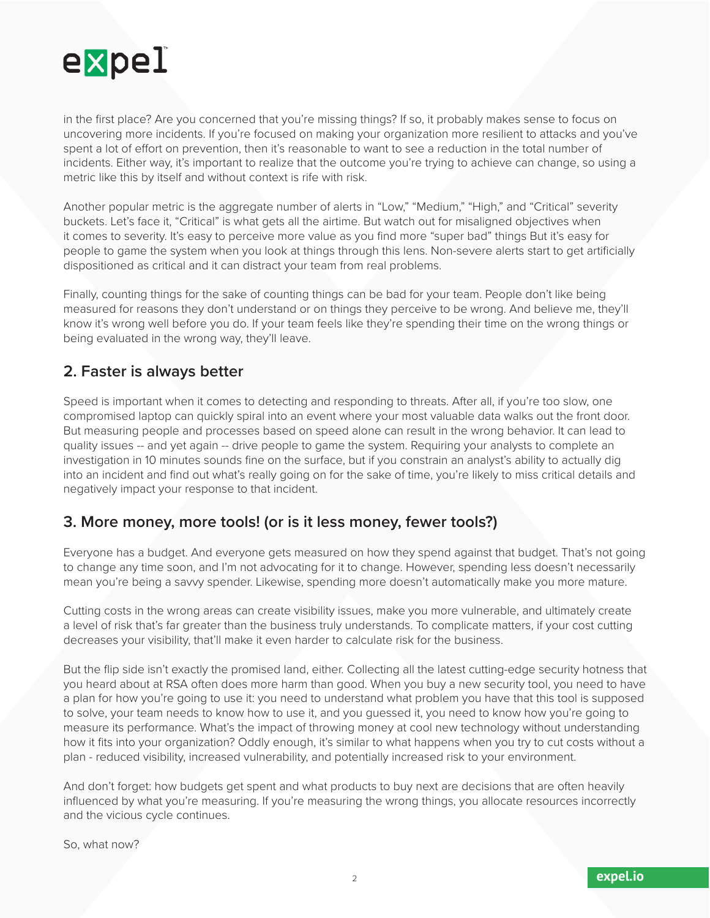

in the first place? Are you concerned that you're missing things? If so, it probably makes sense to focus on uncovering more incidents. If you're focused on making your organization more resilient to attacks and you've spent a lot of effort on prevention, then it's reasonable to want to see a reduction in the total number of incidents. Either way, it's important to realize that the outcome you're trying to achieve can change, so using a metric like this by itself and without context is rife with risk.

Another popular metric is the aggregate number of alerts in "Low," "Medium," "High," and "Critical" severity buckets. Let's face it, "Critical" is what gets all the airtime. But watch out for misaligned objectives when it comes to severity. It's easy to perceive more value as you find more "super bad" things But it's easy for people to game the system when you look at things through this lens. Non-severe alerts start to get artificially dispositioned as critical and it can distract your team from real problems.

Finally, counting things for the sake of counting things can be bad for your team. People don't like being measured for reasons they don't understand or on things they perceive to be wrong. And believe me, they'll know it's wrong well before you do. If your team feels like they're spending their time on the wrong things or being evaluated in the wrong way, they'll leave.

## **2. Faster is always better**

Speed is important when it comes to detecting and responding to threats. After all, if you're too slow, one compromised laptop can quickly spiral into an event where your most valuable data walks out the front door. But measuring people and processes based on speed alone can result in the wrong behavior. It can lead to quality issues -- and yet again -- drive people to game the system. Requiring your analysts to complete an investigation in 10 minutes sounds fine on the surface, but if you constrain an analyst's ability to actually dig into an incident and find out what's really going on for the sake of time, you're likely to miss critical details and negatively impact your response to that incident.

## **3. More money, more tools! (or is it less money, fewer tools?)**

Everyone has a budget. And everyone gets measured on how they spend against that budget. That's not going to change any time soon, and I'm not advocating for it to change. However, spending less doesn't necessarily mean you're being a savvy spender. Likewise, spending more doesn't automatically make you more mature.

Cutting costs in the wrong areas can create visibility issues, make you more vulnerable, and ultimately create a level of risk that's far greater than the business truly understands. To complicate matters, if your cost cutting decreases your visibility, that'll make it even harder to calculate risk for the business.

But the flip side isn't exactly the promised land, either. Collecting all the latest cutting-edge security hotness that you heard about at RSA often does more harm than good. When you buy a new security tool, you need to have a plan for how you're going to use it: you need to understand what problem you have that this tool is supposed to solve, your team needs to know how to use it, and you guessed it, you need to know how you're going to measure its performance. What's the impact of throwing money at cool new technology without understanding how it fits into your organization? Oddly enough, it's similar to what happens when you try to cut costs without a plan - reduced visibility, increased vulnerability, and potentially increased risk to your environment.

And don't forget: how budgets get spent and what products to buy next are decisions that are often heavily influenced by what you're measuring. If you're measuring the wrong things, you allocate resources incorrectly and the vicious cycle continues.

So, what now?